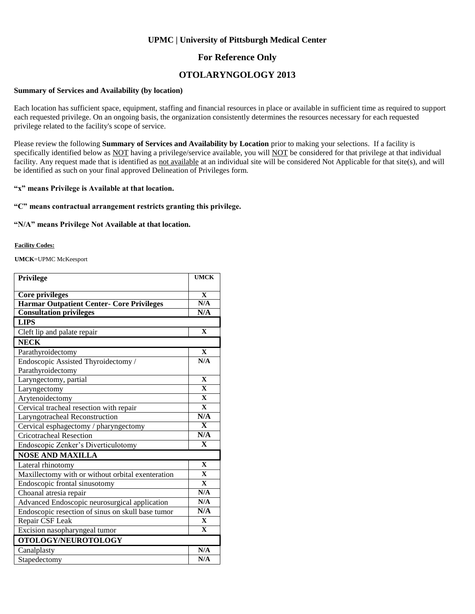### **UPMC | University of Pittsburgh Medical Center**

### **For Reference Only**

## **OTOLARYNGOLOGY 2013**

#### **Summary of Services and Availability (by location)**

Each location has sufficient space, equipment, staffing and financial resources in place or available in sufficient time as required to support each requested privilege. On an ongoing basis, the organization consistently determines the resources necessary for each requested privilege related to the facility's scope of service.

Please review the following **Summary of Services and Availability by Location** prior to making your selections. If a facility is specifically identified below as NOT having a privilege/service available, you will NOT be considered for that privilege at that individual facility. Any request made that is identified as not available at an individual site will be considered Not Applicable for that site(s), and will be identified as such on your final approved Delineation of Privileges form.

### **"x" means Privilege is Available at that location.**

#### **"C" means contractual arrangement restricts granting this privilege.**

#### **"N/A" means Privilege Not Available at that location.**

#### **Facility Codes:**

**UMCK**=UPMC McKeesport

| Privilege                                         | <b>UMCK</b>  |
|---------------------------------------------------|--------------|
| <b>Core privileges</b>                            | $\mathbf{X}$ |
| <b>Harmar Outpatient Center- Core Privileges</b>  | N/A          |
| <b>Consultation privileges</b>                    | N/A          |
| <b>LIPS</b>                                       |              |
| Cleft lip and palate repair                       | $\mathbf{X}$ |
| <b>NECK</b>                                       |              |
| Parathyroidectomy                                 | $\mathbf{X}$ |
| Endoscopic Assisted Thyroidectomy /               | N/A          |
| Parathyroidectomy                                 |              |
| Laryngectomy, partial                             | $\mathbf{X}$ |
| Laryngectomy                                      | $\mathbf{x}$ |
| Arytenoidectomy                                   | $\mathbf{X}$ |
| Cervical tracheal resection with repair           | $\mathbf{X}$ |
| Laryngotracheal Reconstruction                    | N/A          |
| Cervical esphagectomy / pharyngectomy             | $\mathbf{x}$ |
| <b>Cricotracheal Resection</b>                    | N/A          |
| Endoscopic Zenker's Diverticulotomy               | $\mathbf X$  |
| <b>NOSE AND MAXILLA</b>                           |              |
| Lateral rhinotomy                                 | $\mathbf{X}$ |
| Maxillectomy with or without orbital exenteration | $\mathbf{X}$ |
| Endoscopic frontal sinusotomy                     | $\mathbf{X}$ |
| Choanal atresia repair                            | N/A          |
| Advanced Endoscopic neurosurgical application     | N/A          |
| Endoscopic resection of sinus on skull base tumor | N/A          |
| Repair CSF Leak                                   | $\mathbf{X}$ |
| Excision nasopharyngeal tumor                     | $\mathbf{X}$ |
| OTOLOGY/NEUROTOLOGY                               |              |
| Canalplasty                                       | N/A          |
| Stapedectomy                                      | N/A          |